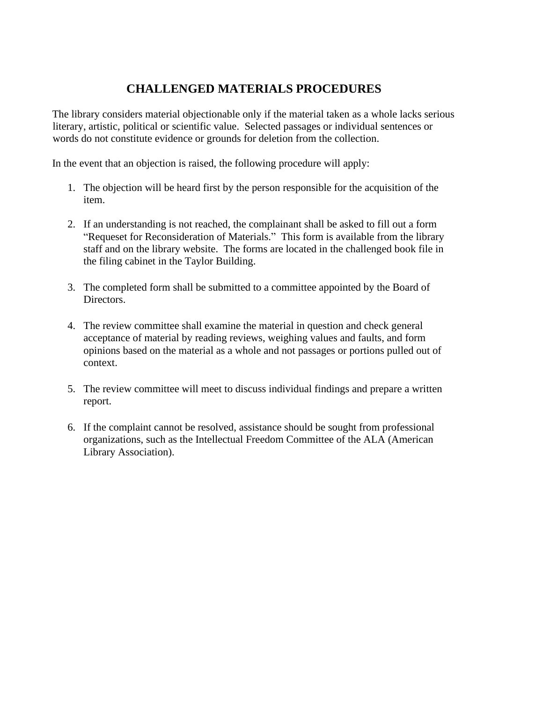## **CHALLENGED MATERIALS PROCEDURES**

The library considers material objectionable only if the material taken as a whole lacks serious literary, artistic, political or scientific value. Selected passages or individual sentences or words do not constitute evidence or grounds for deletion from the collection.

In the event that an objection is raised, the following procedure will apply:

- 1. The objection will be heard first by the person responsible for the acquisition of the item.
- 2. If an understanding is not reached, the complainant shall be asked to fill out a form "Requeset for Reconsideration of Materials." This form is available from the library staff and on the library website. The forms are located in the challenged book file in the filing cabinet in the Taylor Building.
- 3. The completed form shall be submitted to a committee appointed by the Board of Directors.
- 4. The review committee shall examine the material in question and check general acceptance of material by reading reviews, weighing values and faults, and form opinions based on the material as a whole and not passages or portions pulled out of context.
- 5. The review committee will meet to discuss individual findings and prepare a written report.
- 6. If the complaint cannot be resolved, assistance should be sought from professional organizations, such as the Intellectual Freedom Committee of the ALA (American Library Association).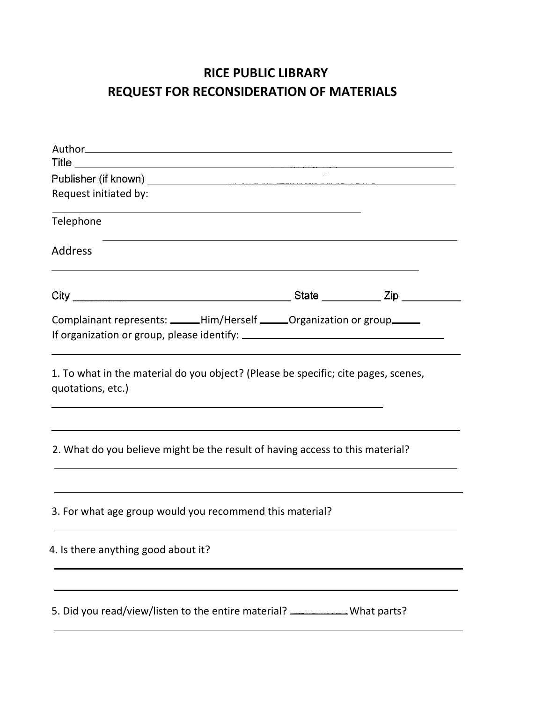## **RICE PUBLIC LIBRARY REQUEST FOR RECONSIDERATION OF MATERIALS**

| Request initiated by:                                                         |                                                                                                                                                                    |
|-------------------------------------------------------------------------------|--------------------------------------------------------------------------------------------------------------------------------------------------------------------|
|                                                                               |                                                                                                                                                                    |
|                                                                               |                                                                                                                                                                    |
|                                                                               |                                                                                                                                                                    |
|                                                                               |                                                                                                                                                                    |
|                                                                               |                                                                                                                                                                    |
|                                                                               |                                                                                                                                                                    |
| 2. What do you believe might be the result of having access to this material? |                                                                                                                                                                    |
| 3. For what age group would you recommend this material?                      |                                                                                                                                                                    |
|                                                                               | Complainant represents: _____Him/Herself ______ Organization or group ______<br>1. To what in the material do you object? (Please be specific; cite pages, scenes, |